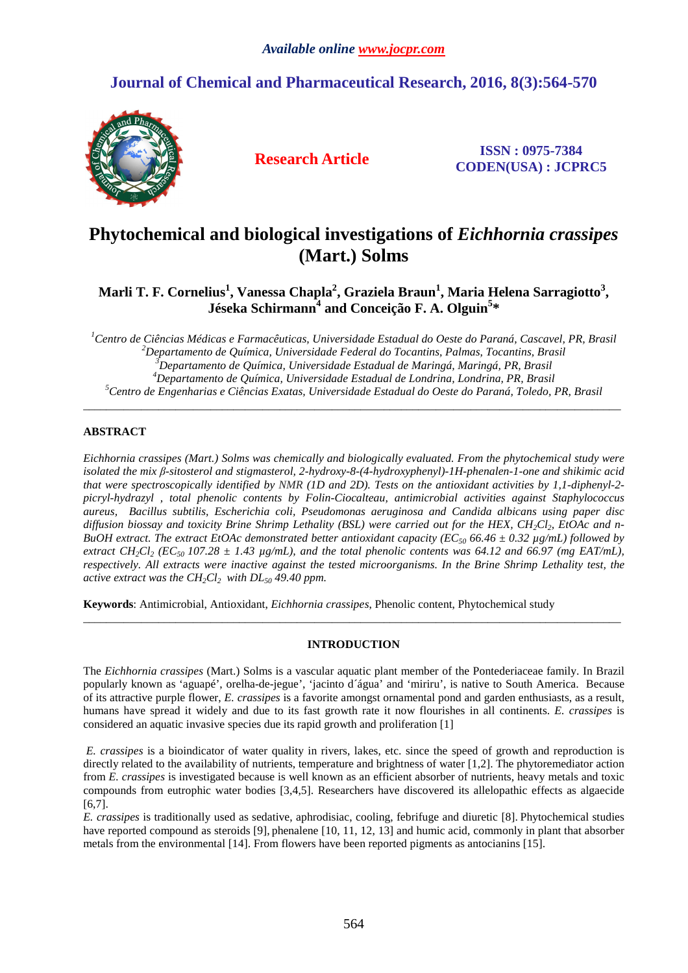# **Journal of Chemical and Pharmaceutical Research, 2016, 8(3):564-570**



**Research Article ISSN : 0975-7384 CODEN(USA) : JCPRC5**

# **Phytochemical and biological investigations of** *Eichhornia crassipes* **(Mart.) Solms**

**Marli T. F. Cornelius<sup>1</sup> , Vanessa Chapla<sup>2</sup> , Graziela Braun<sup>1</sup> , Maria Helena Sarragiotto<sup>3</sup> , Jéseka Schirmann<sup>4</sup> and Conceição F. A. Olguin<sup>5</sup> \*** 

*Centro de Ciências Médicas e Farmacêuticas, Universidade Estadual do Oeste do Paraná, Cascavel, PR, Brasil Departamento de Química, Universidade Federal do Tocantins, Palmas, Tocantins, Brasil Departamento de Química, Universidade Estadual de Maringá, Maringá, PR, Brasil Departamento de Química, Universidade Estadual de Londrina, Londrina, PR, Brasil Centro de Engenharias e Ciências Exatas, Universidade Estadual do Oeste do Paraná, Toledo, PR, Brasil*  \_\_\_\_\_\_\_\_\_\_\_\_\_\_\_\_\_\_\_\_\_\_\_\_\_\_\_\_\_\_\_\_\_\_\_\_\_\_\_\_\_\_\_\_\_\_\_\_\_\_\_\_\_\_\_\_\_\_\_\_\_\_\_\_\_\_\_\_\_\_\_\_\_\_\_\_\_\_\_\_\_\_\_\_\_\_\_\_\_\_\_\_\_

## **ABSTRACT**

*Eichhornia crassipes (Mart.) Solms was chemically and biologically evaluated. From the phytochemical study were isolated the mix β-sitosterol and stigmasterol, 2-hydroxy-8-(4-hydroxyphenyl)-1H-phenalen-1-one and shikimic acid that were spectroscopically identified by NMR (1D and 2D). Tests on the antioxidant activities by 1,1-diphenyl-2 picryl-hydrazyl , total phenolic contents by Folin-Ciocalteau, antimicrobial activities against Staphylococcus aureus, Bacillus subtilis, Escherichia coli, Pseudomonas aeruginosa and Candida albicans using paper disc diffusion biossay and toxicity Brine Shrimp Lethality (BSL) were carried out for the HEX, CH2Cl2, EtOAc and n-BuOH extract. The extract EtOAc demonstrated better antioxidant capacity (EC<sub>50</sub> 66.46*  $\pm$  *0.32 µg/mL) followed by extract CH*<sub>2</sub>*Cl*<sub>2</sub> (*EC*<sub>50</sub> 107.28  $\pm$  1.43  $\mu$ g/mL), and the total phenolic contents was 64.12 and 66.97 (mg EAT/mL), *respectively. All extracts were inactive against the tested microorganisms. In the Brine Shrimp Lethality test, the active extract was the CH2Cl2 with DL50 49.40 ppm.* 

**Keywords**: Antimicrobial, Antioxidant, *Eichhornia crassipes*, Phenolic content, Phytochemical study

## **INTRODUCTION**

 $\overline{a}$  , and the contribution of the contribution of the contribution of the contribution of the contribution of the contribution of the contribution of the contribution of the contribution of the contribution of the co

The *Eichhornia crassipes* (Mart.) Solms is a vascular aquatic plant member of the Pontederiaceae family. In Brazil popularly known as 'aguapé', orelha-de-jegue', 'jacinto d´água' and 'miriru', is native to South America. Because of its attractive purple flower, *E. crassipes* is a favorite amongst ornamental pond and garden enthusiasts, as a result, humans have spread it widely and due to its fast growth rate it now flourishes in all continents. *E. crassipes* is considered an aquatic invasive species due its rapid growth and proliferation [1]

 *E. crassipes* is a bioindicator of water quality in rivers, lakes, etc. since the speed of growth and reproduction is directly related to the availability of nutrients, temperature and brightness of water [1,2]. The phytoremediator action from *E. crassipes* is investigated because is well known as an efficient absorber of nutrients, heavy metals and toxic compounds from eutrophic water bodies [3,4,5]. Researchers have discovered its allelopathic effects as algaecide [6,7].

*E. crassipes* is traditionally used as sedative, aphrodisiac, cooling, febrifuge and diuretic [8]. Phytochemical studies have reported compound as steroids [9], phenalene [10, 11, 12, 13] and humic acid, commonly in plant that absorber metals from the environmental [14]. From flowers have been reported pigments as antocianins [15].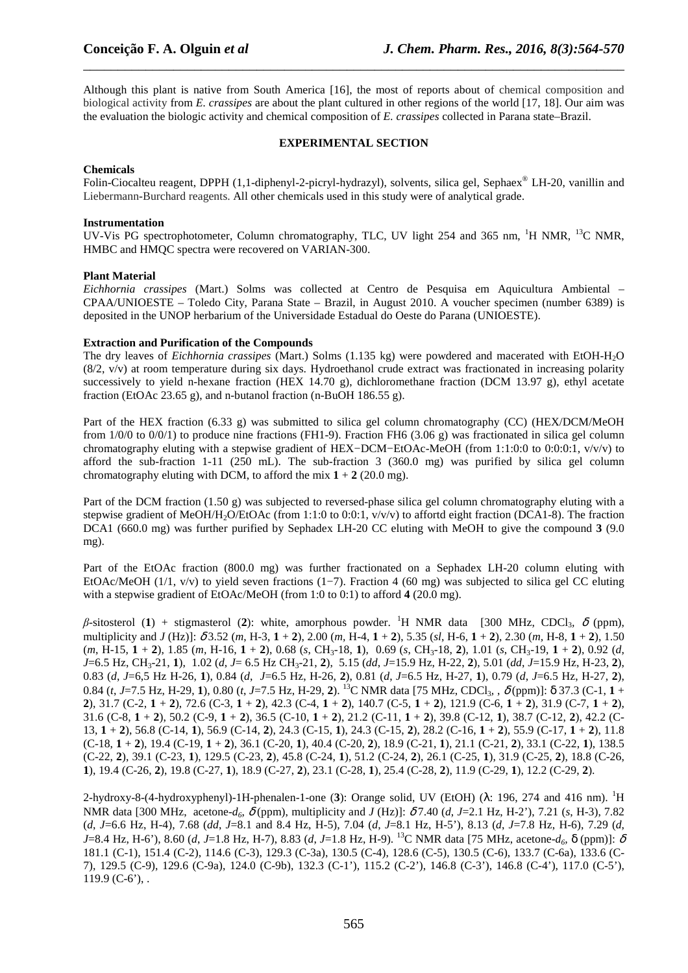Although this plant is native from South America [16], the most of reports about of chemical composition and biological activity from *E. crassipes* are about the plant cultured in other regions of the world [17, 18]. Our aim was the evaluation the biologic activity and chemical composition of *E. crassipes* collected in Parana state–Brazil.

\_\_\_\_\_\_\_\_\_\_\_\_\_\_\_\_\_\_\_\_\_\_\_\_\_\_\_\_\_\_\_\_\_\_\_\_\_\_\_\_\_\_\_\_\_\_\_\_\_\_\_\_\_\_\_\_\_\_\_\_\_\_\_\_\_\_\_\_\_\_\_\_\_\_\_\_\_\_

#### **EXPERIMENTAL SECTION**

#### **Chemicals**

Folin-Ciocalteu reagent, DPPH (1,1-diphenyl-2-picryl-hydrazyl), solvents, silica gel, Sephaex® LH-20, vanillin and Liebermann**-**Burchard reagents. All other chemicals used in this study were of analytical grade.

#### **Instrumentation**

UV-Vis PG spectrophotometer, Column chromatography, TLC, UV light 254 and 365 nm, <sup>1</sup>H NMR, <sup>13</sup>C NMR, HMBC and HMQC spectra were recovered on VARIAN-300.

#### **Plant Material**

*Eichhornia crassipes* (Mart.) Solms was collected at Centro de Pesquisa em Aquicultura Ambiental – CPAA/UNIOESTE – Toledo City, Parana State – Brazil, in August 2010. A voucher specimen (number 6389) is deposited in the UNOP herbarium of the Universidade Estadual do Oeste do Parana (UNIOESTE).

#### **Extraction and Purification of the Compounds**

The dry leaves of *Eichhornia crassipes* (Mart.) Solms (1.135 kg) were powdered and macerated with EtOH-H2O (8/2, v/v) at room temperature during six days. Hydroethanol crude extract was fractionated in increasing polarity successively to yield n-hexane fraction (HEX 14.70 g), dichloromethane fraction (DCM 13.97 g), ethyl acetate fraction (EtOAc 23.65 g), and n-butanol fraction (n-BuOH 186.55 g).

Part of the HEX fraction (6.33 g) was submitted to silica gel column chromatography (CC) (HEX/DCM/MeOH from 1/0/0 to 0/0/1) to produce nine fractions (FH1-9). Fraction FH6 (3.06 g) was fractionated in silica gel column chromatography eluting with a stepwise gradient of HEX−DCM−EtOAc-MeOH (from 1:1:0:0 to 0:0:0:1, v/v/v) to afford the sub-fraction 1-11 (250 mL). The sub-fraction 3 (360.0 mg) was purified by silica gel column chromatography eluting with DCM, to afford the mix  $1 + 2$  (20.0 mg).

Part of the DCM fraction (1.50 g) was subjected to reversed-phase silica gel column chromatography eluting with a stepwise gradient of MeOH/H<sub>2</sub>O/EtOAc (from 1:1:0 to 0:0:1,  $v/v/v$ ) to affortd eight fraction (DCA1-8). The fraction DCA1 (660.0 mg) was further purified by Sephadex LH-20 CC eluting with MeOH to give the compound **3** (9.0 mg).

Part of the EtOAc fraction (800.0 mg) was further fractionated on a Sephadex LH-20 column eluting with EtOAc/MeOH (1/1, v/v) to yield seven fractions (1−7). Fraction 4 (60 mg) was subjected to silica gel CC eluting with a stepwise gradient of EtOAc/MeOH (from 1:0 to 0:1) to afford **4** (20.0 mg).

*β*-sitosterol (**1**) + stigmasterol (**2**): white, amorphous powder. <sup>1</sup>H NMR data [300 MHz, CDCl<sub>3</sub>, δ (ppm), multiplicity and *J* (Hz)]: δ 3.52 (*m*, H-3, **1** + **2**), 2.00 (*m,* H-4, **1** + **2**), 5.35 (*sl*, H-6, **1** + **2**), 2.30 (*m,* H-8, **1** + **2**), 1.50  $(m, H-15, 1 + 2)$ , 1.85  $(m, H-16, 1 + 2)$ , 0.68  $(s, CH_3-18, 1)$ , 0.69  $(s, CH_3-18, 2)$ , 1.01  $(s, CH_3-19, 1 + 2)$ , 0.92  $(d,$ *J*=6.5 Hz, CH3-21, **1**), 1.02 (*d*, *J*= 6.5 Hz CH3-21, **2**), 5.15 (*dd*, *J*=15.9 Hz, H-22, **2**), 5.01 (*dd*, *J*=15.9 Hz, H-23, **2**), 0.83 (*d*, *J*=6,5 Hz H-26, **1**), 0.84 (*d*, *J*=6.5 Hz, H-26, **2**), 0.81 (*d*, *J*=6.5 Hz, H-27, **1**), 0.79 (*d*, *J*=6.5 Hz, H-27, **2**), 0.84 (*t*, *J*=7.5 Hz, H-29, **1**), 0.80 (*t*, *J*=7.5 Hz, H-29, **2**). <sup>13</sup>C NMR data [75 MHz, CDCl3*,* , δ (ppm)]: δ 37.3 (C-1, **1** + **2**), 31.7 (C-2, **1** + **2**), 72.6 (C-3, **1** + **2**), 42.3 (C-4, **1** + **2**), 140.7 (C-5, **1** + **2**), 121.9 (C-6, **1** + **2**), 31.9 (C-7, **1** + **2**), 31.6 (C-8, **1** + **2**), 50.2 (C-9, **1** + **2**), 36.5 (C-10, **1** + **2**), 21.2 (C-11, **1** + **2**), 39.8 (C-12, **1**), 38.7 (C-12, **2**), 42.2 (C-13, **1** + **2**), 56.8 (C-14, **1**), 56.9 (C-14, **2**), 24.3 (C-15, **1**), 24.3 (C-15, **2**), 28.2 (C-16, **1** + **2**), 55.9 (C-17, **1** + **2**), 11.8 (C-18, **1** + **2**), 19.4 (C-19, **1** + **2**), 36.1 (C-20, **1**), 40.4 (C-20, **2**), 18.9 (C-21, **1**), 21.1 (C-21, **2**), 33.1 (C-22, **1**), 138.5 (C-22, **2**), 39.1 (C-23, **1**), 129.5 (C-23, **2**), 45.8 (C-24, **1**), 51.2 (C-24, **2**), 26.1 (C-25, **1**), 31.9 (C-25, **2**), 18.8 (C-26, **1**), 19.4 (C-26, **2**), 19.8 (C-27, **1**), 18.9 (C-27, **2**), 23.1 (C-28, **1**), 25.4 (C-28, **2**), 11.9 (C-29, **1**), 12.2 (C-29, **2**).

2-hydroxy-8-(4-hydroxyphenyl)-1H-phenalen-1-one (**3**): Orange solid, UV (EtOH) (λ: 196, 274 and 416 nm). <sup>1</sup>H NMR data [300 MHz, acetone-*d6*, δ (ppm), multiplicity and *J* (Hz)]: δ 7.40 (*d*, *J*=2.1 Hz, H-2'), 7.21 (*s*, H-3), 7.82 (*d*, *J*=6.6 Hz, H-4), 7.68 (*dd*, *J*=8.1 and 8.4 Hz, H-5), 7.04 (*d*, *J*=8.1 Hz, H-5'), 8.13 (*d*, *J*=7.8 Hz, H-6), 7.29 (*d*, *J*=8.4 Hz, H-6'), 8.60 (*d*, *J*=1.8 Hz, H-7), 8.83 (*d*, *J*=1.8 Hz, H-9). <sup>13</sup>C NMR data [75 MHz, acetone*-d6,* δ (ppm)]: <sup>δ</sup> 181.1 (C-1), 151.4 (C-2), 114.6 (C-3), 129.3 (C-3a), 130.5 (C-4), 128.6 (C-5), 130.5 (C-6), 133.7 (C-6a), 133.6 (C-7), 129.5 (C-9), 129.6 (C-9a), 124.0 (C-9b), 132.3 (C-1'), 115.2 (C-2'), 146.8 (C-3'), 146.8 (C-4'), 117.0 (C-5'),  $119.9$  (C-6'),.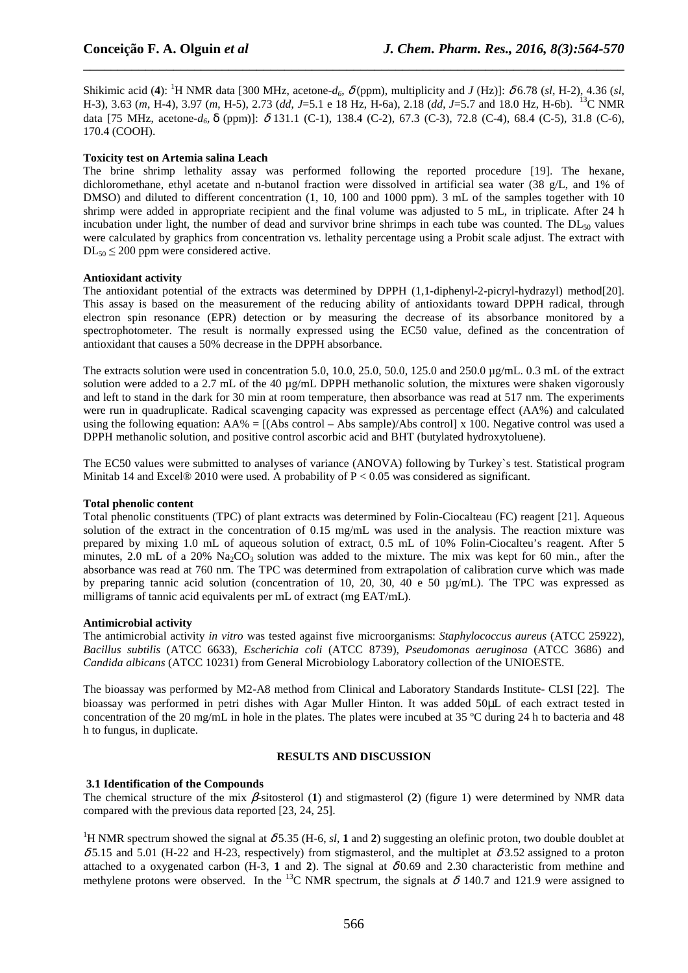Shikimic acid (4): <sup>1</sup>H NMR data [300 MHz, acetone- $d_6$ ,  $\delta$  (ppm), multiplicity and *J* (Hz)]:  $\delta$  6.78 (*sl*, H-2), 4.36 (*sl*, H-3), 3.63 (*m*, H-4), 3.97 (*m*, H-5), 2.73 (*dd*, *J*=5.1 e 18 Hz, H-6a), 2.18 (*dd*, *J*=5.7 and 18.0 Hz, H-6b). <sup>13</sup>C NMR data [75 MHz, acetone*-d6,* δ (ppm)]: δ 131.1 (C-1), 138.4 (C-2), 67.3 (C-3), 72.8 (C-4), 68.4 (C-5), 31.8 (C-6), 170.4 (COOH).

\_\_\_\_\_\_\_\_\_\_\_\_\_\_\_\_\_\_\_\_\_\_\_\_\_\_\_\_\_\_\_\_\_\_\_\_\_\_\_\_\_\_\_\_\_\_\_\_\_\_\_\_\_\_\_\_\_\_\_\_\_\_\_\_\_\_\_\_\_\_\_\_\_\_\_\_\_\_

#### **Toxicity test on Artemia salina Leach**

The brine shrimp lethality assay was performed following the reported procedure [19]. The hexane, dichloromethane, ethyl acetate and n-butanol fraction were dissolved in artificial sea water (38 g/L, and 1% of DMSO) and diluted to different concentration (1, 10, 100 and 1000 ppm). 3 mL of the samples together with 10 shrimp were added in appropriate recipient and the final volume was adjusted to 5 mL, in triplicate. After 24 h incubation under light, the number of dead and survivor brine shrimps in each tube was counted. The DL<sub>50</sub> values were calculated by graphics from concentration vs. lethality percentage using a Probit scale adjust. The extract with  $DL_{50} \leq 200$  ppm were considered active.

#### **Antioxidant activity**

The antioxidant potential of the extracts was determined by DPPH (1,1-diphenyl-2-picryl-hydrazyl) method[20]. This assay is based on the measurement of the reducing ability of antioxidants toward DPPH radical, through electron spin resonance (EPR) detection or by measuring the decrease of its absorbance monitored by a spectrophotometer. The result is normally expressed using the EC50 value, defined as the concentration of antioxidant that causes a 50% decrease in the DPPH absorbance.

The extracts solution were used in concentration 5.0, 10.0, 25.0, 50.0, 125.0 and 250.0 µg/mL. 0.3 mL of the extract solution were added to a 2.7 mL of the 40 µg/mL DPPH methanolic solution, the mixtures were shaken vigorously and left to stand in the dark for 30 min at room temperature, then absorbance was read at 517 nm. The experiments were run in quadruplicate. Radical scavenging capacity was expressed as percentage effect (AA%) and calculated using the following equation:  $AA\% = [(Abs\ control - Abs\ sample)/Abs\ control] \times 100$ . Negative control was used a DPPH methanolic solution, and positive control ascorbic acid and BHT (butylated hydroxytoluene).

The EC50 values were submitted to analyses of variance (ANOVA) following by Turkey`s test. Statistical program Minitab 14 and Excel® 2010 were used. A probability of  $P < 0.05$  was considered as significant.

#### **Total phenolic content**

Total phenolic constituents (TPC) of plant extracts was determined by Folin-Ciocalteau (FC) reagent [21]. Aqueous solution of the extract in the concentration of 0.15 mg/mL was used in the analysis. The reaction mixture was prepared by mixing 1.0 mL of aqueous solution of extract, 0.5 mL of 10% Folin-Ciocalteu's reagent. After 5 minutes, 2.0 mL of a 20%  $\text{Na}_2\text{CO}_3$  solution was added to the mixture. The mix was kept for 60 min., after the absorbance was read at 760 nm. The TPC was determined from extrapolation of calibration curve which was made by preparing tannic acid solution (concentration of 10, 20, 30, 40 e 50  $\mu$ g/mL). The TPC was expressed as milligrams of tannic acid equivalents per mL of extract (mg EAT/mL).

#### **Antimicrobial activity**

The antimicrobial activity *in vitro* was tested against five microorganisms: *Staphylococcus aureus* (ATCC 25922), *Bacillus subtilis* (ATCC 6633), *Escherichia coli* (ATCC 8739), *Pseudomonas aeruginosa* (ATCC 3686) and *Candida albicans* (ATCC 10231) from General Microbiology Laboratory collection of the UNIOESTE.

The bioassay was performed by M2-A8 method from Clinical and Laboratory Standards Institute- CLSI [22]. The bioassay was performed in petri dishes with Agar Muller Hinton. It was added 50µL of each extract tested in concentration of the 20 mg/mL in hole in the plates. The plates were incubed at 35 ºC during 24 h to bacteria and 48 h to fungus, in duplicate.

#### **RESULTS AND DISCUSSION**

#### **3.1 Identification of the Compounds**

The chemical structure of the mix β-sitosterol (**1**) and stigmasterol (**2**) (figure 1) were determined by NMR data compared with the previous data reported [23, 24, 25].

<sup>1</sup>H NMR spectrum showed the signal at  $\delta$  5.35 (H-6, *sl*, **1** and **2**) suggesting an olefinic proton, two double doublet at  $\delta$ 5.15 and 5.01 (H-22 and H-23, respectively) from stigmasterol, and the multiplet at  $\delta$ 3.52 assigned to a proton attached to a oxygenated carbon (H-3, 1 and 2). The signal at  $\delta 0.69$  and 2.30 characteristic from methine and methylene protons were observed. In the <sup>13</sup>C NMR spectrum, the signals at  $\delta$  140.7 and 121.9 were assigned to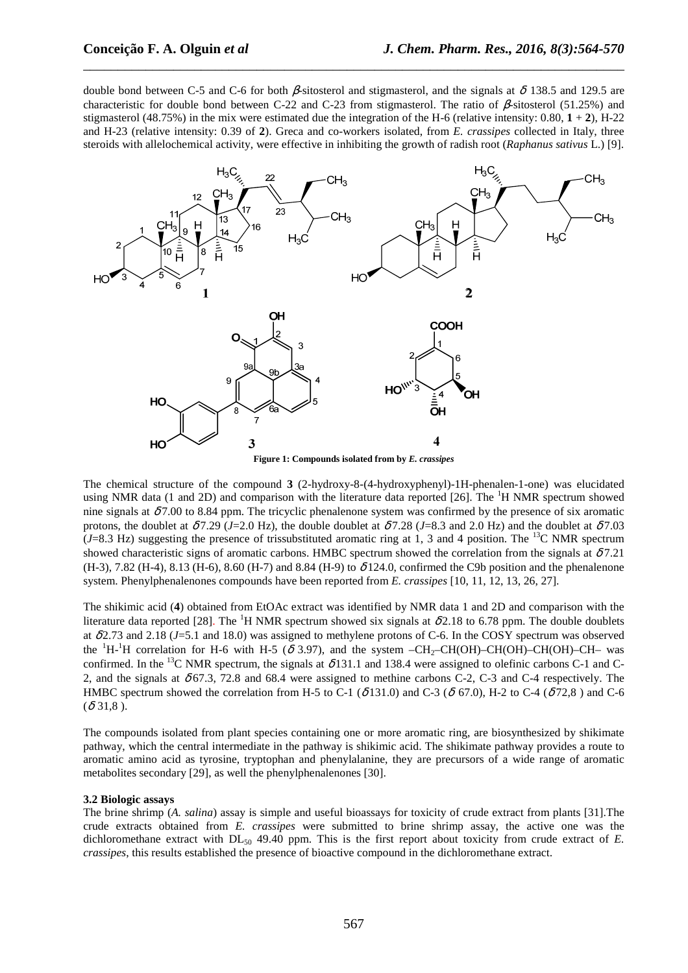double bond between C-5 and C-6 for both β-sitosterol and stigmasterol, and the signals at δ 138.5 and 129.5 are characteristic for double bond between C-22 and C-23 from stigmasterol. The ratio of β-sitosterol (51.25%) and stigmasterol (48.75%) in the mix were estimated due the integration of the H-6 (relative intensity:  $0.80, 1 + 2$ ), H-22 and H-23 (relative intensity: 0.39 of **2**). Greca and co-workers isolated, from *E. crassipes* collected in Italy, three steroids with allelochemical activity, were effective in inhibiting the growth of radish root (*Raphanus sativus* L.) [9].

\_\_\_\_\_\_\_\_\_\_\_\_\_\_\_\_\_\_\_\_\_\_\_\_\_\_\_\_\_\_\_\_\_\_\_\_\_\_\_\_\_\_\_\_\_\_\_\_\_\_\_\_\_\_\_\_\_\_\_\_\_\_\_\_\_\_\_\_\_\_\_\_\_\_\_\_\_\_



**Figure 1: Compounds isolated from by** *E. crassipes*

The chemical structure of the compound **3** (2-hydroxy-8-(4-hydroxyphenyl)-1H-phenalen-1-one) was elucidated using NMR data (1 and 2D) and comparison with the literature data reported [26]. The  ${}^{1}$ H NMR spectrum showed nine signals at  $\delta$ 7.00 to 8.84 ppm. The tricyclic phenalenone system was confirmed by the presence of six aromatic protons, the doublet at  $\delta$ 7.29 (*J*=2.0 Hz), the double doublet at  $\delta$ 7.28 (*J*=8.3 and 2.0 Hz) and the doublet at  $\delta$ 7.03  $(J=8.3 \text{ Hz})$  suggesting the presence of trissubstituted aromatic ring at 1, 3 and 4 position. The <sup>13</sup>C NMR spectrum showed characteristic signs of aromatic carbons. HMBC spectrum showed the correlation from the signals at  $\delta 7.21$ (H-3), 7.82 (H-4), 8.13 (H-6), 8.60 (H-7) and 8.84 (H-9) to  $\delta$  124.0, confirmed the C9b position and the phenalenone system. Phenylphenalenones compounds have been reported from *E. crassipes* [10, 11, 12, 13, 26, 27].

The shikimic acid (**4**) obtained from EtOAc extract was identified by NMR data 1 and 2D and comparison with the literature data reported [28]. The <sup>1</sup>H NMR spectrum showed six signals at  $\delta$ 2.18 to 6.78 ppm. The double doublets at δ 2.73 and 2.18 (*J*=5.1 and 18.0) was assigned to methylene protons of C-6. In the COSY spectrum was observed the  ${}^{1}H-{}^{1}H$  correlation for H-6 with H-5 ( $\delta$  3.97), and the system –CH<sub>2</sub>–CH(OH)–CH(OH)–CH(OH)–CH– was confirmed. In the <sup>13</sup>C NMR spectrum, the signals at  $\delta$ 131.1 and 138.4 were assigned to olefinic carbons C-1 and C-2, and the signals at  $\delta$  67.3, 72.8 and 68.4 were assigned to methine carbons C-2, C-3 and C-4 respectively. The HMBC spectrum showed the correlation from H-5 to C-1 ( $\delta$ 131.0) and C-3 ( $\delta$  67.0), H-2 to C-4 ( $\delta$ 72.8) and C-6  $(\delta$  31,8).

The compounds isolated from plant species containing one or more aromatic ring, are biosynthesized by shikimate pathway, which the central intermediate in the pathway is shikimic acid. The shikimate pathway provides a route to aromatic amino acid as tyrosine, tryptophan and phenylalanine, they are precursors of a wide range of aromatic metabolites secondary [29], as well the phenylphenalenones [30].

#### **3.2 Biologic assays**

The brine shrimp (*A. salina*) assay is simple and useful bioassays for toxicity of crude extract from plants [31].The crude extracts obtained from *E. crassipes* were submitted to brine shrimp assay, the active one was the dichloromethane extract with DL<sub>50</sub> 49.40 ppm. This is the first report about toxicity from crude extract of *E*. *crassipes*, this results established the presence of bioactive compound in the dichloromethane extract.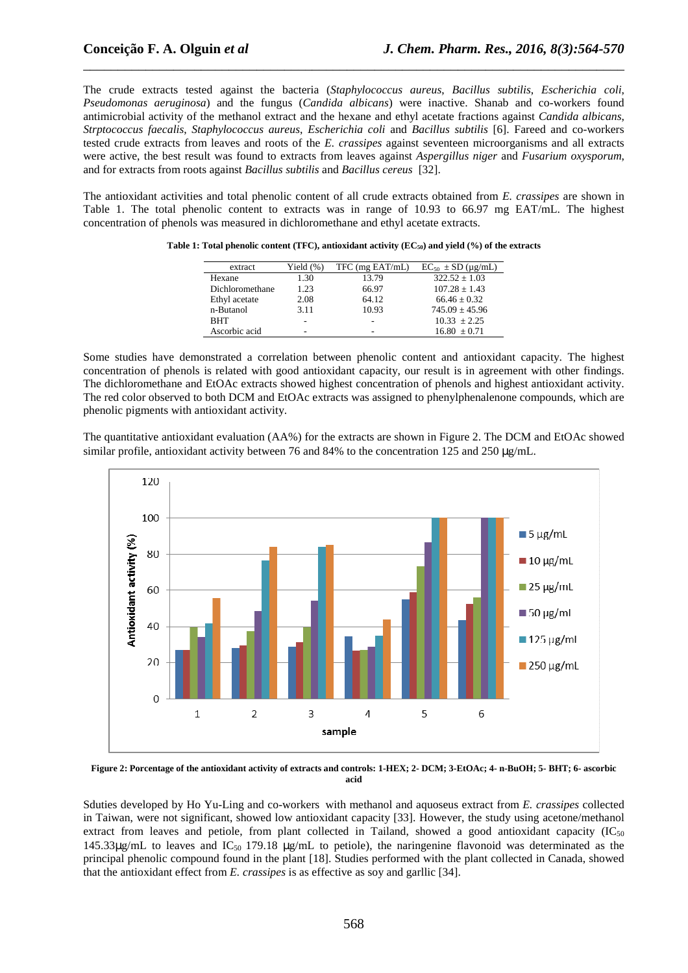The crude extracts tested against the bacteria (*Staphylococcus aureus*, *Bacillus subtilis*, *Escherichia coli*, *Pseudomonas aeruginosa*) and the fungus (*Candida albicans*) were inactive. Shanab and co-workers found antimicrobial activity of the methanol extract and the hexane and ethyl acetate fractions against *Candida albicans*, *Strptococcus faecalis*, *Staphylococcus aureus*, *Escherichia coli* and *Bacillus subtilis* [6]. Fareed and co-workers tested crude extracts from leaves and roots of the *E. crassipes* against seventeen microorganisms and all extracts were active, the best result was found to extracts from leaves against *Aspergillus niger* and *Fusarium oxysporum*, and for extracts from roots against *Bacillus subtilis* and *Bacillus cereus* [32].

\_\_\_\_\_\_\_\_\_\_\_\_\_\_\_\_\_\_\_\_\_\_\_\_\_\_\_\_\_\_\_\_\_\_\_\_\_\_\_\_\_\_\_\_\_\_\_\_\_\_\_\_\_\_\_\_\_\_\_\_\_\_\_\_\_\_\_\_\_\_\_\_\_\_\_\_\_\_

The antioxidant activities and total phenolic content of all crude extracts obtained from *E. crassipes* are shown in Table 1. The total phenolic content to extracts was in range of 10.93 to 66.97 mg EAT/mL. The highest concentration of phenols was measured in dichloromethane and ethyl acetate extracts.

| extract         | Yield $(\%)$ | TFC (mg EAT/mL) | $EC_{50}$ ± SD (µg/mL) |
|-----------------|--------------|-----------------|------------------------|
| Hexane          | 1.30         | 13.79           | $322.52 + 1.03$        |
| Dichloromethane | 1.23         | 66.97           | $107.28 + 1.43$        |
| Ethyl acetate   | 2.08         | 64.12           | $66.46 \pm 0.32$       |
| n-Butanol       | 3.11         | 10.93           | $745.09 + 45.96$       |
| <b>BHT</b>      |              | -               | $10.33 + 2.25$         |
| Ascorbic acid   | -            | -               | $16.80 + 0.71$         |

**Table 1: Total phenolic content (TFC), antioxidant activity (EC50) and yield (%) of the extracts** 

Some studies have demonstrated a correlation between phenolic content and antioxidant capacity. The highest concentration of phenols is related with good antioxidant capacity, our result is in agreement with other findings. The dichloromethane and EtOAc extracts showed highest concentration of phenols and highest antioxidant activity. The red color observed to both DCM and EtOAc extracts was assigned to phenylphenalenone compounds, which are phenolic pigments with antioxidant activity.

The quantitative antioxidant evaluation (AA%) for the extracts are shown in Figure 2. The DCM and EtOAc showed similar profile, antioxidant activity between 76 and 84% to the concentration 125 and 250  $\mu$ g/mL.



**Figure 2: Porcentage of the antioxidant activity of extracts and controls: 1-HEX; 2- DCM; 3-EtOAc; 4- n-BuOH; 5- BHT; 6- ascorbic acid** 

Sduties developed by Ho Yu-Ling and co-workers with methanol and aquoseus extract from *E. crassipes* collected in Taiwan, were not significant, showed low antioxidant capacity [33]. However, the study using acetone/methanol extract from leaves and petiole, from plant collected in Tailand, showed a good antioxidant capacity  $(IC_{50})$ 145.33 $\mu$ g/mL to leaves and IC<sub>50</sub> 179.18  $\mu$ g/mL to petiole), the naringenine flavonoid was determinated as the principal phenolic compound found in the plant [18]. Studies performed with the plant collected in Canada, showed that the antioxidant effect from *E. crassipes* is as effective as soy and garllic [34].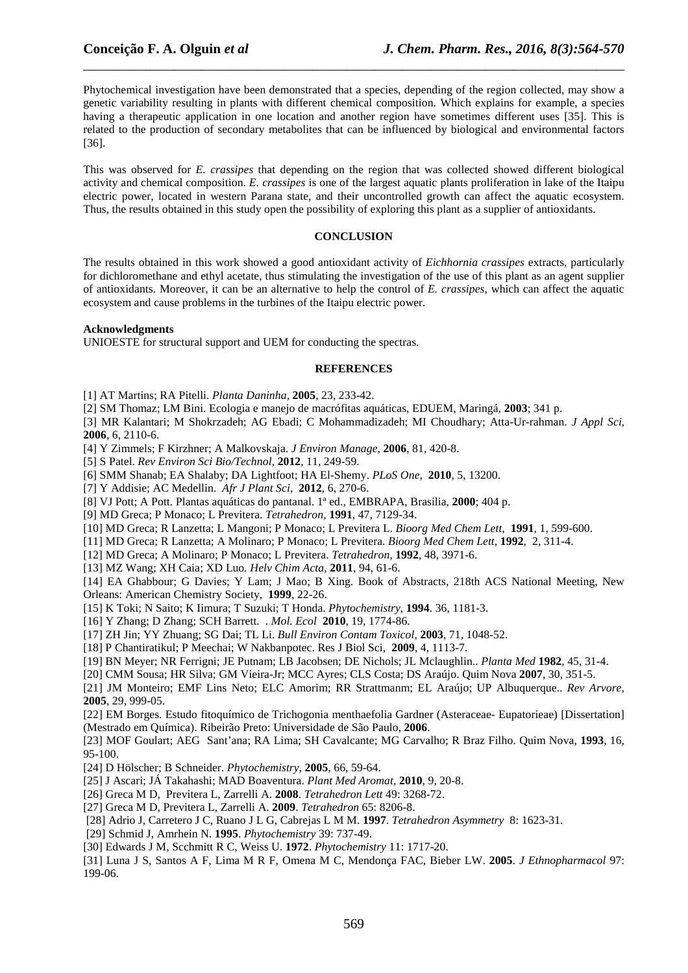Phytochemical investigation have been demonstrated that a species, depending of the region collected, may show a genetic variability resulting in plants with different chemical composition. Which explains for example, a species having a therapeutic application in one location and another region have sometimes different uses [35]. This is related to the production of secondary metabolites that can be influenced by biological and environmental factors [36].

\_\_\_\_\_\_\_\_\_\_\_\_\_\_\_\_\_\_\_\_\_\_\_\_\_\_\_\_\_\_\_\_\_\_\_\_\_\_\_\_\_\_\_\_\_\_\_\_\_\_\_\_\_\_\_\_\_\_\_\_\_\_\_\_\_\_\_\_\_\_\_\_\_\_\_\_\_\_

This was observed for *E. crassipes* that depending on the region that was collected showed different biological activity and chemical composition. *E. crassipes* is one of the largest aquatic plants proliferation in lake of the Itaipu electric power, located in western Parana state, and their uncontrolled growth can affect the aquatic ecosystem. Thus, the results obtained in this study open the possibility of exploring this plant as a supplier of antioxidants.

#### **CONCLUSION**

The results obtained in this work showed a good antioxidant activity of *Eichhornia crassipes* extracts, particularly for dichloromethane and ethyl acetate, thus stimulating the investigation of the use of this plant as an agent supplier of antioxidants. Moreover, it can be an alternative to help the control of *E. crassipes*, which can affect the aquatic ecosystem and cause problems in the turbines of the Itaipu electric power.

#### **Acknowledgments**

UNIOESTE for structural support and UEM for conducting the spectras.

#### **REFERENCES**

[1] AT Martins; RA Pitelli. *Planta Daninha,* **2005**, 23, 233-42.

[2] SM Thomaz; LM Bini. Ecologia e manejo de macrófitas aquáticas, EDUEM, Maringá, **2003**; 341 p.

[3] MR Kalantari; M Shokrzadeh; AG Ebadi; C Mohammadizadeh; MI Choudhary; Atta-Ur-rahman. *J Appl Sci,*  **2006**, 6, 2110-6.

[4] Y Zimmels; F Kirzhner; A Malkovskaja. *J Environ Manage,* **2006**, 81, 420-8.

[5] S Patel. *Rev Environ Sci Bio/Technol,* **2012**, 11, 249-59.

- [6] SMM Shanab; EA Shalaby; DA Lightfoot; HA El-Shemy. *PLoS One,* **2010**, 5, 13200.
- [7] Y Addisie; AC Medellin. *Afr J Plant Sci*, **2012**, 6, 270-6.
- [8] VJ Pott; A Pott. Plantas aquáticas do pantanal. 1ª ed., EMBRAPA, Brasilia, **2000**; 404 p.
- [9] MD Greca; P Monaco; L Previtera. *Tetrahedron,* **1991**, 47, 7129-34.
- [10] MD Greca; R Lanzetta; L Mangoni; P Monaco; L Previtera L. *Bioorg Med Chem Lett*, **1991**, 1, 599-600.
- [11] MD Greca; R Lanzetta; A Molinaro; P Monaco; L Previtera. *Bioorg Med Chem Lett*, **1992**, 2, 311-4.
- [12] MD Greca; A Molinaro; P Monaco; L Previtera. *Tetrahedron*, **1992**, 48, 3971-6.
- [13] MZ Wang; XH Caia; XD Luo*. Helv Chim Acta,* **2011**, 94, 61-6.

[14] EA Ghabbour; G Davies; Y Lam; J Mao; B Xing. Book of Abstracts, 218th ACS National Meeting, New Orleans: American Chemistry Society, **1999**, 22-26.

- [15] K Toki; N Saito; K Iimura; T Suzuki; T Honda. *Phytochemistry*, **1994**. 36, 1181-3.
- [16] Y Zhang; D Zhang; SCH Barrett. . *Mol. Ecol* **2010**, 19, 1774-86.
- [17] ZH Jin; YY Zhuang; SG Dai; TL Li. *Bull Environ Contam Toxicol*, **2003**, 71, 1048-52.
- [18] P Chantiratikul; P Meechai; W Nakbanpotec. Res J Biol Sci, **2009**, 4, 1113-7.
- [19] BN Meyer; NR Ferrigni; JE Putnam; LB Jacobsen; DE Nichols; JL Mclaughlin.. *Planta Med* **1982**, 45, 31-4.
- [20] CMM Sousa; HR Silva; GM Vieira-Jr; MCC Ayres; CLS Costa; DS Araújo. Quim Nova **2007**, 30, 351-5.

[21] JM Monteiro; EMF Lins Neto; ELC Amorim; RR Strattmanm; EL Araújo; UP Albuquerque.. *Rev Arvore,*  **2005**, 29, 999-05.

[22] EM Borges. Estudo fitoquímico de Trichogonia menthaefolia Gardner (Asteraceae- Eupatorieae) [Dissertation] (Mestrado em Química). Ribeirão Preto: Universidade de São Paulo, **2006**.

[23] MOF Goulart; AEG Sant'ana; RA Lima; SH Cavalcante; MG Carvalho; R Braz Filho. Quim Nova, **1993**, 16, 95-100.

- [24] D Hölscher; B Schneider. *Phytochemistry*, **2005**, 66, 59-64.
- [25] J Ascari; JÁ Takahashi; MAD Boaventura. *Plant Med Aromat,* **2010**, 9, 20-8.
- [26] Greca M D, Previtera L, Zarrelli A. **2008**. *Tetrahedron Lett* 49: 3268-72.
- [27] Greca M D, Previtera L, Zarrelli A. **2009**. *Tetrahedron* 65: 8206-8.
- [28] Adrio J, Carretero J C, Ruano J L G, Cabrejas L M M. **1997**. *Tetrahedron Asymmetry* 8: 1623-31.
- [29] Schmid J, Amrhein N. **1995**. *Phytochemistry* 39: 737-49.
- [30] Edwards J M, Scchmitt R C, Weiss U. **1972**. *Phytochemistry* 11: 1717-20.

[31] Luna J S, Santos A F, Lima M R F, Omena M C, Mendonça FAC, Bieber LW. **2005**. *J Ethnopharmacol* 97: 199-06.